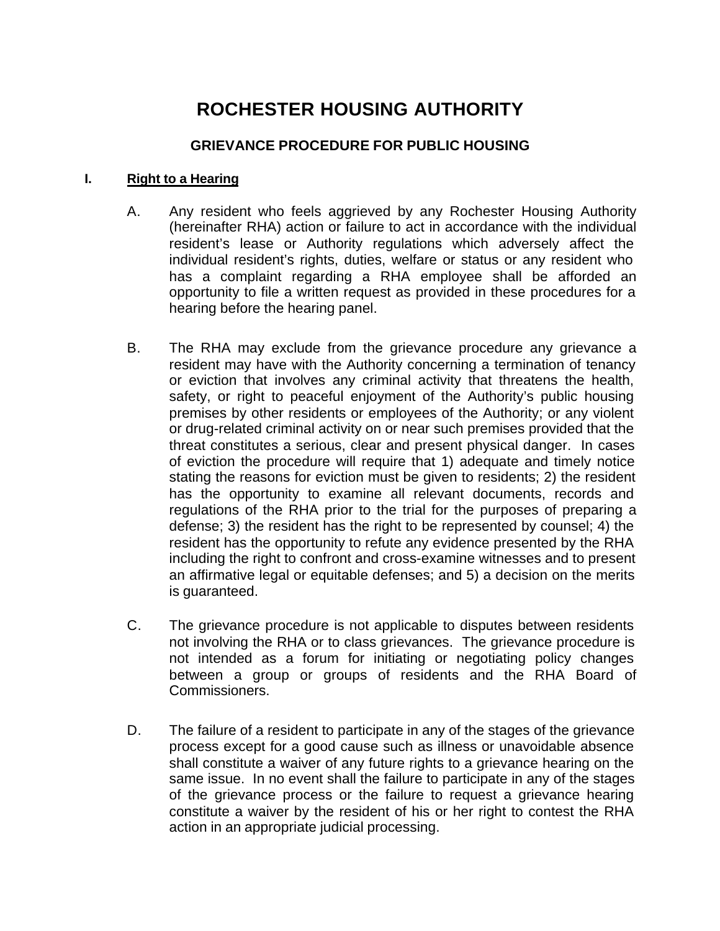# **ROCHESTER HOUSING AUTHORITY**

## **GRIEVANCE PROCEDURE FOR PUBLIC HOUSING**

#### **I. Right to a Hearing**

- A. Any resident who feels aggrieved by any Rochester Housing Authority (hereinafter RHA) action or failure to act in accordance with the individual resident's lease or Authority regulations which adversely affect the individual resident's rights, duties, welfare or status or any resident who has a complaint regarding a RHA employee shall be afforded an opportunity to file a written request as provided in these procedures for a hearing before the hearing panel.
- B. The RHA may exclude from the grievance procedure any grievance a resident may have with the Authority concerning a termination of tenancy or eviction that involves any criminal activity that threatens the health, safety, or right to peaceful enjoyment of the Authority's public housing premises by other residents or employees of the Authority; or any violent or drug-related criminal activity on or near such premises provided that the threat constitutes a serious, clear and present physical danger. In cases of eviction the procedure will require that 1) adequate and timely notice stating the reasons for eviction must be given to residents; 2) the resident has the opportunity to examine all relevant documents, records and regulations of the RHA prior to the trial for the purposes of preparing a defense; 3) the resident has the right to be represented by counsel; 4) the resident has the opportunity to refute any evidence presented by the RHA including the right to confront and cross-examine witnesses and to present an affirmative legal or equitable defenses; and 5) a decision on the merits is guaranteed.
- C. The grievance procedure is not applicable to disputes between residents not involving the RHA or to class grievances. The grievance procedure is not intended as a forum for initiating or negotiating policy changes between a group or groups of residents and the RHA Board of Commissioners.
- D. The failure of a resident to participate in any of the stages of the grievance process except for a good cause such as illness or unavoidable absence shall constitute a waiver of any future rights to a grievance hearing on the same issue. In no event shall the failure to participate in any of the stages of the grievance process or the failure to request a grievance hearing constitute a waiver by the resident of his or her right to contest the RHA action in an appropriate judicial processing.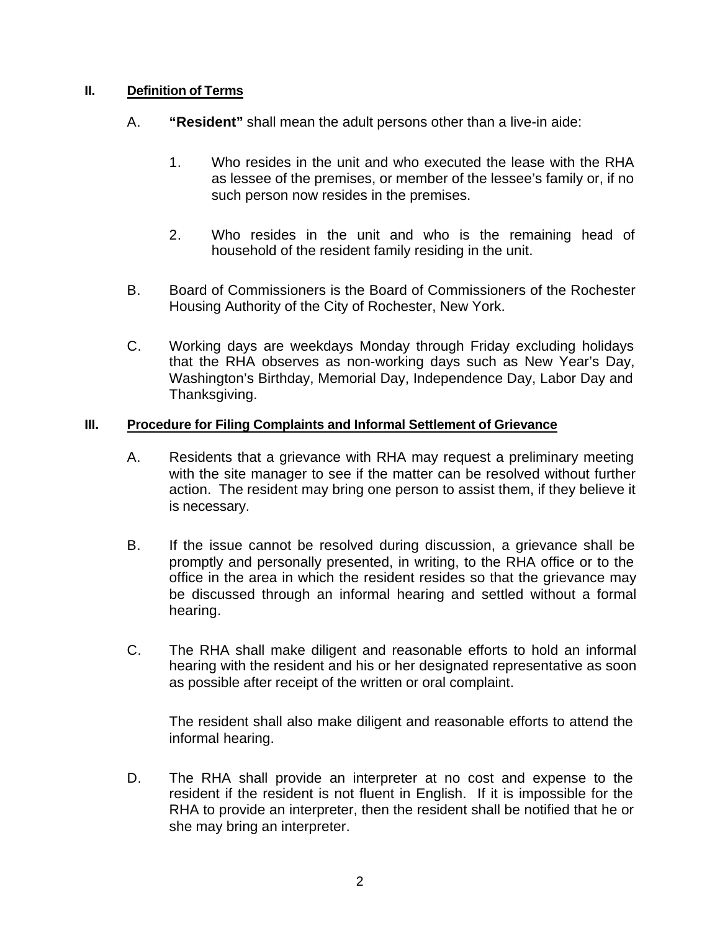## **II. Definition of Terms**

- A. **"Resident"** shall mean the adult persons other than a live-in aide:
	- 1. Who resides in the unit and who executed the lease with the RHA as lessee of the premises, or member of the lessee's family or, if no such person now resides in the premises.
	- 2. Who resides in the unit and who is the remaining head of household of the resident family residing in the unit.
- B. Board of Commissioners is the Board of Commissioners of the Rochester Housing Authority of the City of Rochester, New York.
- C. Working days are weekdays Monday through Friday excluding holidays that the RHA observes as non-working days such as New Year's Day, Washington's Birthday, Memorial Day, Independence Day, Labor Day and Thanksgiving.

#### **III. Procedure for Filing Complaints and Informal Settlement of Grievance**

- A. Residents that a grievance with RHA may request a preliminary meeting with the site manager to see if the matter can be resolved without further action. The resident may bring one person to assist them, if they believe it is necessary.
- B. If the issue cannot be resolved during discussion, a grievance shall be promptly and personally presented, in writing, to the RHA office or to the office in the area in which the resident resides so that the grievance may be discussed through an informal hearing and settled without a formal hearing.
- C. The RHA shall make diligent and reasonable efforts to hold an informal hearing with the resident and his or her designated representative as soon as possible after receipt of the written or oral complaint.

The resident shall also make diligent and reasonable efforts to attend the informal hearing.

D. The RHA shall provide an interpreter at no cost and expense to the resident if the resident is not fluent in English. If it is impossible for the RHA to provide an interpreter, then the resident shall be notified that he or she may bring an interpreter.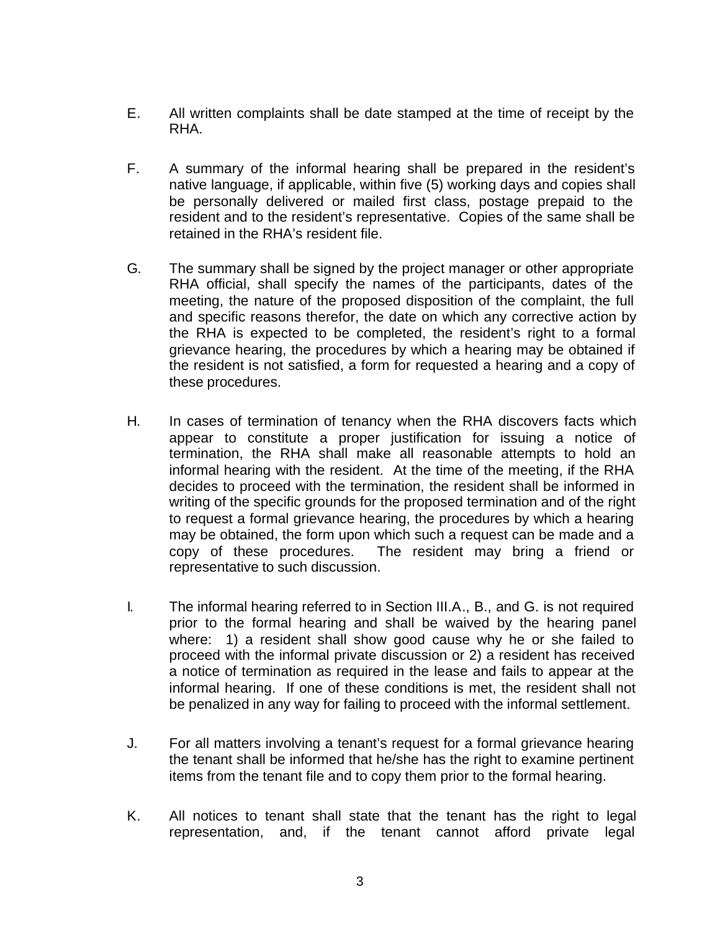- E. All written complaints shall be date stamped at the time of receipt by the RHA.
- F. A summary of the informal hearing shall be prepared in the resident's native language, if applicable, within five (5) working days and copies shall be personally delivered or mailed first class, postage prepaid to the resident and to the resident's representative. Copies of the same shall be retained in the RHA's resident file.
- G. The summary shall be signed by the project manager or other appropriate RHA official, shall specify the names of the participants, dates of the meeting, the nature of the proposed disposition of the complaint, the full and specific reasons therefor, the date on which any corrective action by the RHA is expected to be completed, the resident's right to a formal grievance hearing, the procedures by which a hearing may be obtained if the resident is not satisfied, a form for requested a hearing and a copy of these procedures.
- H. In cases of termination of tenancy when the RHA discovers facts which appear to constitute a proper justification for issuing a notice of termination, the RHA shall make all reasonable attempts to hold an informal hearing with the resident. At the time of the meeting, if the RHA decides to proceed with the termination, the resident shall be informed in writing of the specific grounds for the proposed termination and of the right to request a formal grievance hearing, the procedures by which a hearing may be obtained, the form upon which such a request can be made and a copy of these procedures. The resident may bring a friend or representative to such discussion.
- I. The informal hearing referred to in Section III.A., B., and G. is not required prior to the formal hearing and shall be waived by the hearing panel where: 1) a resident shall show good cause why he or she failed to proceed with the informal private discussion or 2) a resident has received a notice of termination as required in the lease and fails to appear at the informal hearing. If one of these conditions is met, the resident shall not be penalized in any way for failing to proceed with the informal settlement.
- J. For all matters involving a tenant's request for a formal grievance hearing the tenant shall be informed that he/she has the right to examine pertinent items from the tenant file and to copy them prior to the formal hearing.
- K. All notices to tenant shall state that the tenant has the right to legal representation, and, if the tenant cannot afford private legal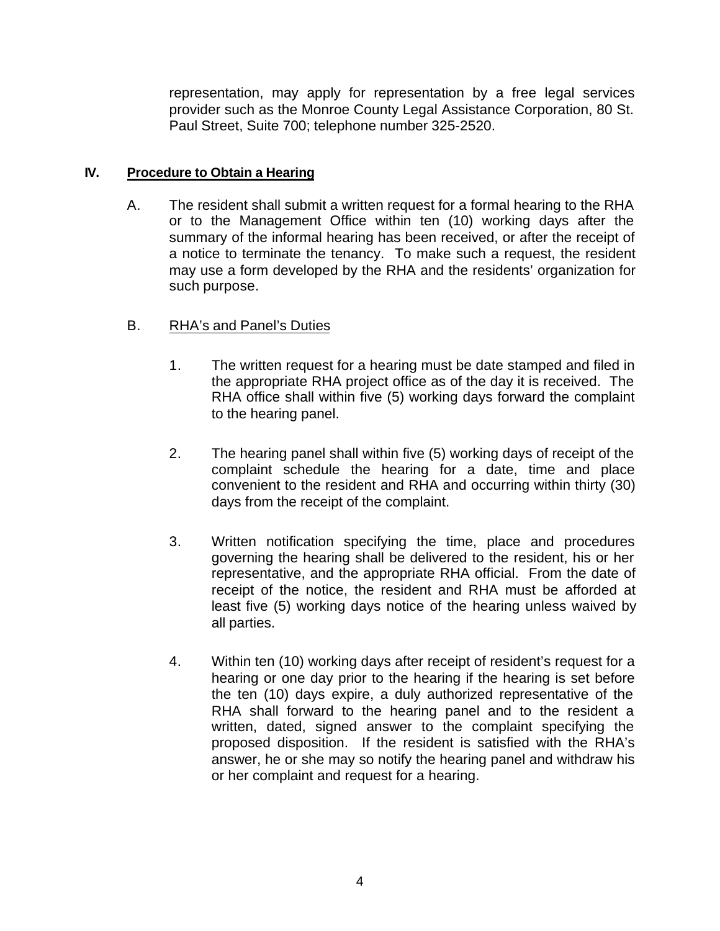representation, may apply for representation by a free legal services provider such as the Monroe County Legal Assistance Corporation, 80 St. Paul Street, Suite 700; telephone number 325-2520.

## **IV. Procedure to Obtain a Hearing**

A. The resident shall submit a written request for a formal hearing to the RHA or to the Management Office within ten (10) working days after the summary of the informal hearing has been received, or after the receipt of a notice to terminate the tenancy. To make such a request, the resident may use a form developed by the RHA and the residents' organization for such purpose.

# B. RHA's and Panel's Duties

- 1. The written request for a hearing must be date stamped and filed in the appropriate RHA project office as of the day it is received. The RHA office shall within five (5) working days forward the complaint to the hearing panel.
- 2. The hearing panel shall within five (5) working days of receipt of the complaint schedule the hearing for a date, time and place convenient to the resident and RHA and occurring within thirty (30) days from the receipt of the complaint.
- 3. Written notification specifying the time, place and procedures governing the hearing shall be delivered to the resident, his or her representative, and the appropriate RHA official. From the date of receipt of the notice, the resident and RHA must be afforded at least five (5) working days notice of the hearing unless waived by all parties.
- 4. Within ten (10) working days after receipt of resident's request for a hearing or one day prior to the hearing if the hearing is set before the ten (10) days expire, a duly authorized representative of the RHA shall forward to the hearing panel and to the resident a written, dated, signed answer to the complaint specifying the proposed disposition. If the resident is satisfied with the RHA's answer, he or she may so notify the hearing panel and withdraw his or her complaint and request for a hearing.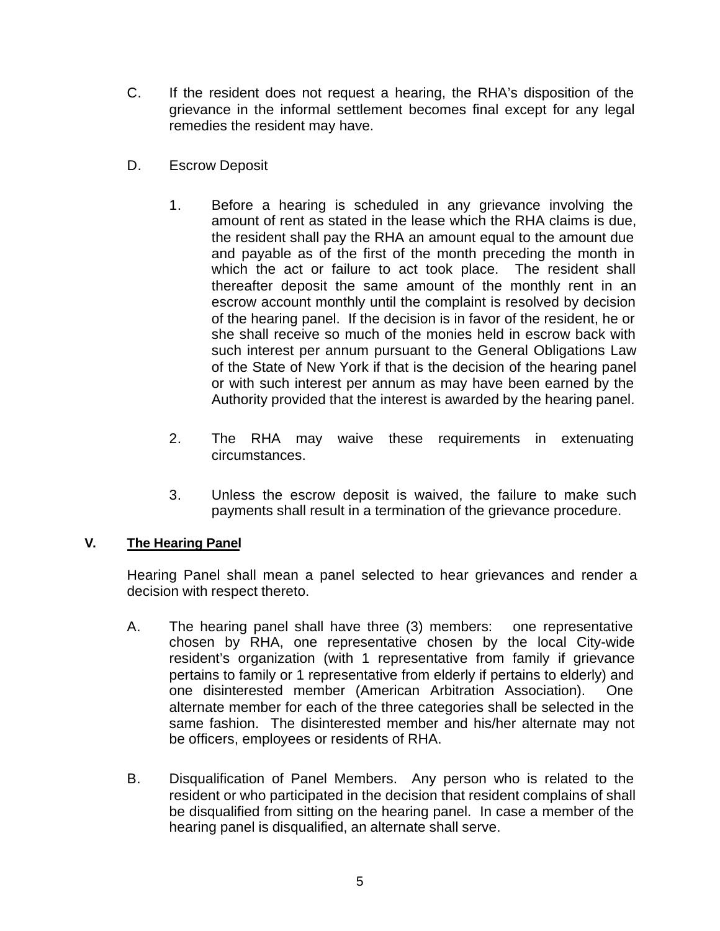- C. If the resident does not request a hearing, the RHA's disposition of the grievance in the informal settlement becomes final except for any legal remedies the resident may have.
- D. Escrow Deposit
	- 1. Before a hearing is scheduled in any grievance involving the amount of rent as stated in the lease which the RHA claims is due, the resident shall pay the RHA an amount equal to the amount due and payable as of the first of the month preceding the month in which the act or failure to act took place. The resident shall thereafter deposit the same amount of the monthly rent in an escrow account monthly until the complaint is resolved by decision of the hearing panel. If the decision is in favor of the resident, he or she shall receive so much of the monies held in escrow back with such interest per annum pursuant to the General Obligations Law of the State of New York if that is the decision of the hearing panel or with such interest per annum as may have been earned by the Authority provided that the interest is awarded by the hearing panel.
	- 2. The RHA may waive these requirements in extenuating circumstances.
	- 3. Unless the escrow deposit is waived, the failure to make such payments shall result in a termination of the grievance procedure.

#### **V. The Hearing Panel**

Hearing Panel shall mean a panel selected to hear grievances and render a decision with respect thereto.

- A. The hearing panel shall have three (3) members: one representative chosen by RHA, one representative chosen by the local City-wide resident's organization (with 1 representative from family if grievance pertains to family or 1 representative from elderly if pertains to elderly) and one disinterested member (American Arbitration Association). One alternate member for each of the three categories shall be selected in the same fashion. The disinterested member and his/her alternate may not be officers, employees or residents of RHA.
- B. Disqualification of Panel Members. Any person who is related to the resident or who participated in the decision that resident complains of shall be disqualified from sitting on the hearing panel. In case a member of the hearing panel is disqualified, an alternate shall serve.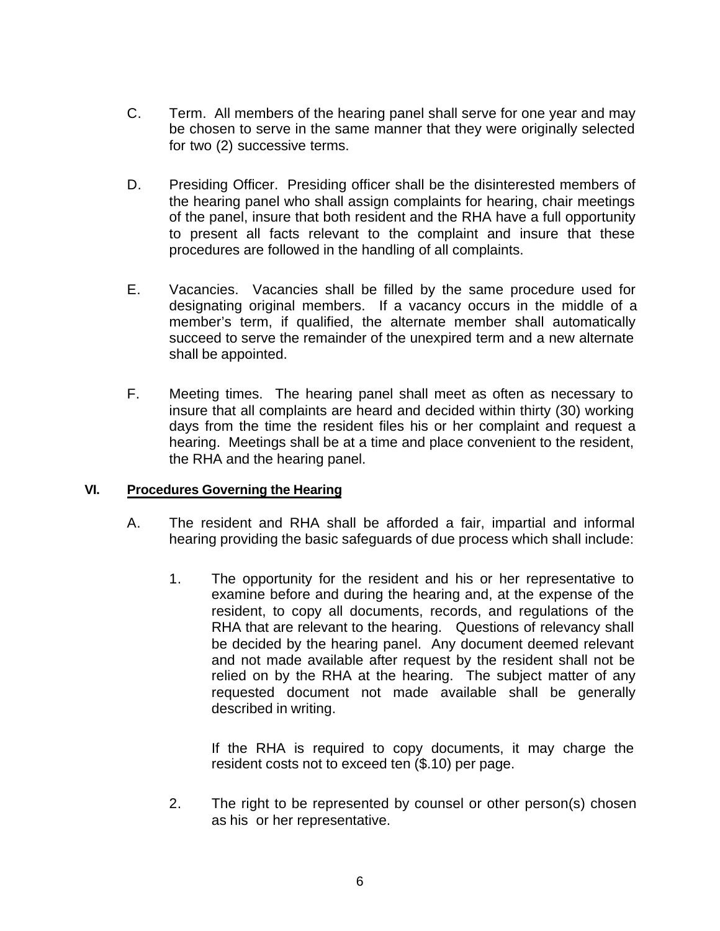- C. Term. All members of the hearing panel shall serve for one year and may be chosen to serve in the same manner that they were originally selected for two (2) successive terms.
- D. Presiding Officer. Presiding officer shall be the disinterested members of the hearing panel who shall assign complaints for hearing, chair meetings of the panel, insure that both resident and the RHA have a full opportunity to present all facts relevant to the complaint and insure that these procedures are followed in the handling of all complaints.
- E. Vacancies. Vacancies shall be filled by the same procedure used for designating original members. If a vacancy occurs in the middle of a member's term, if qualified, the alternate member shall automatically succeed to serve the remainder of the unexpired term and a new alternate shall be appointed.
- F. Meeting times. The hearing panel shall meet as often as necessary to insure that all complaints are heard and decided within thirty (30) working days from the time the resident files his or her complaint and request a hearing. Meetings shall be at a time and place convenient to the resident, the RHA and the hearing panel.

#### **VI. Procedures Governing the Hearing**

- A. The resident and RHA shall be afforded a fair, impartial and informal hearing providing the basic safeguards of due process which shall include:
	- 1. The opportunity for the resident and his or her representative to examine before and during the hearing and, at the expense of the resident, to copy all documents, records, and regulations of the RHA that are relevant to the hearing. Questions of relevancy shall be decided by the hearing panel. Any document deemed relevant and not made available after request by the resident shall not be relied on by the RHA at the hearing. The subject matter of any requested document not made available shall be generally described in writing.

If the RHA is required to copy documents, it may charge the resident costs not to exceed ten (\$.10) per page.

2. The right to be represented by counsel or other person(s) chosen as his or her representative.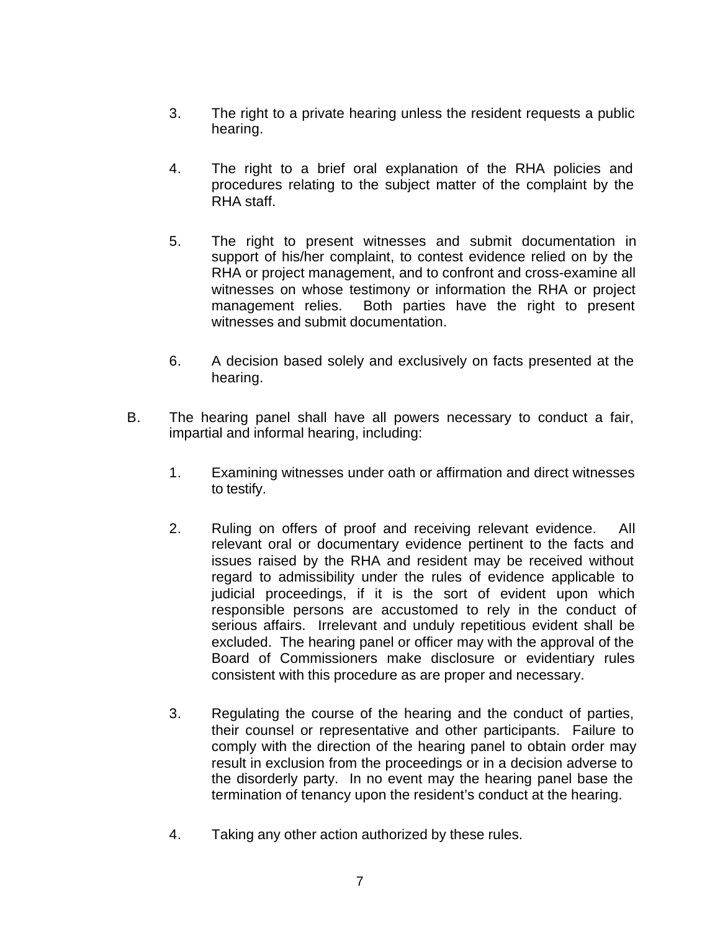- 3. The right to a private hearing unless the resident requests a public hearing.
- 4. The right to a brief oral explanation of the RHA policies and procedures relating to the subject matter of the complaint by the RHA staff.
- 5. The right to present witnesses and submit documentation in support of his/her complaint, to contest evidence relied on by the RHA or project management, and to confront and cross-examine all witnesses on whose testimony or information the RHA or project management relies. Both parties have the right to present witnesses and submit documentation.
- 6. A decision based solely and exclusively on facts presented at the hearing.
- B. The hearing panel shall have all powers necessary to conduct a fair, impartial and informal hearing, including:
	- 1. Examining witnesses under oath or affirmation and direct witnesses to testify.
	- 2. Ruling on offers of proof and receiving relevant evidence. All relevant oral or documentary evidence pertinent to the facts and issues raised by the RHA and resident may be received without regard to admissibility under the rules of evidence applicable to judicial proceedings, if it is the sort of evident upon which responsible persons are accustomed to rely in the conduct of serious affairs. Irrelevant and unduly repetitious evident shall be excluded. The hearing panel or officer may with the approval of the Board of Commissioners make disclosure or evidentiary rules consistent with this procedure as are proper and necessary.
	- 3. Regulating the course of the hearing and the conduct of parties, their counsel or representative and other participants. Failure to comply with the direction of the hearing panel to obtain order may result in exclusion from the proceedings or in a decision adverse to the disorderly party. In no event may the hearing panel base the termination of tenancy upon the resident's conduct at the hearing.
	- 4. Taking any other action authorized by these rules.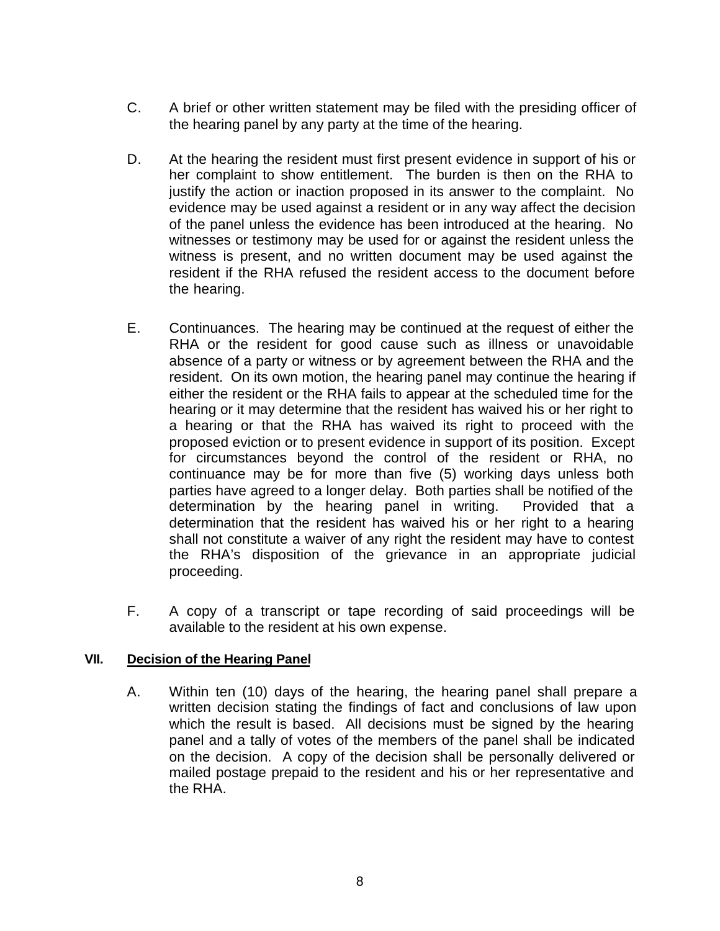- C. A brief or other written statement may be filed with the presiding officer of the hearing panel by any party at the time of the hearing.
- D. At the hearing the resident must first present evidence in support of his or her complaint to show entitlement. The burden is then on the RHA to justify the action or inaction proposed in its answer to the complaint. No evidence may be used against a resident or in any way affect the decision of the panel unless the evidence has been introduced at the hearing. No witnesses or testimony may be used for or against the resident unless the witness is present, and no written document may be used against the resident if the RHA refused the resident access to the document before the hearing.
- E. Continuances. The hearing may be continued at the request of either the RHA or the resident for good cause such as illness or unavoidable absence of a party or witness or by agreement between the RHA and the resident. On its own motion, the hearing panel may continue the hearing if either the resident or the RHA fails to appear at the scheduled time for the hearing or it may determine that the resident has waived his or her right to a hearing or that the RHA has waived its right to proceed with the proposed eviction or to present evidence in support of its position. Except for circumstances beyond the control of the resident or RHA, no continuance may be for more than five (5) working days unless both parties have agreed to a longer delay. Both parties shall be notified of the determination by the hearing panel in writing. Provided that a determination that the resident has waived his or her right to a hearing shall not constitute a waiver of any right the resident may have to contest the RHA's disposition of the grievance in an appropriate judicial proceeding.
- F. A copy of a transcript or tape recording of said proceedings will be available to the resident at his own expense.

#### **VII. Decision of the Hearing Panel**

A. Within ten (10) days of the hearing, the hearing panel shall prepare a written decision stating the findings of fact and conclusions of law upon which the result is based. All decisions must be signed by the hearing panel and a tally of votes of the members of the panel shall be indicated on the decision. A copy of the decision shall be personally delivered or mailed postage prepaid to the resident and his or her representative and the RHA.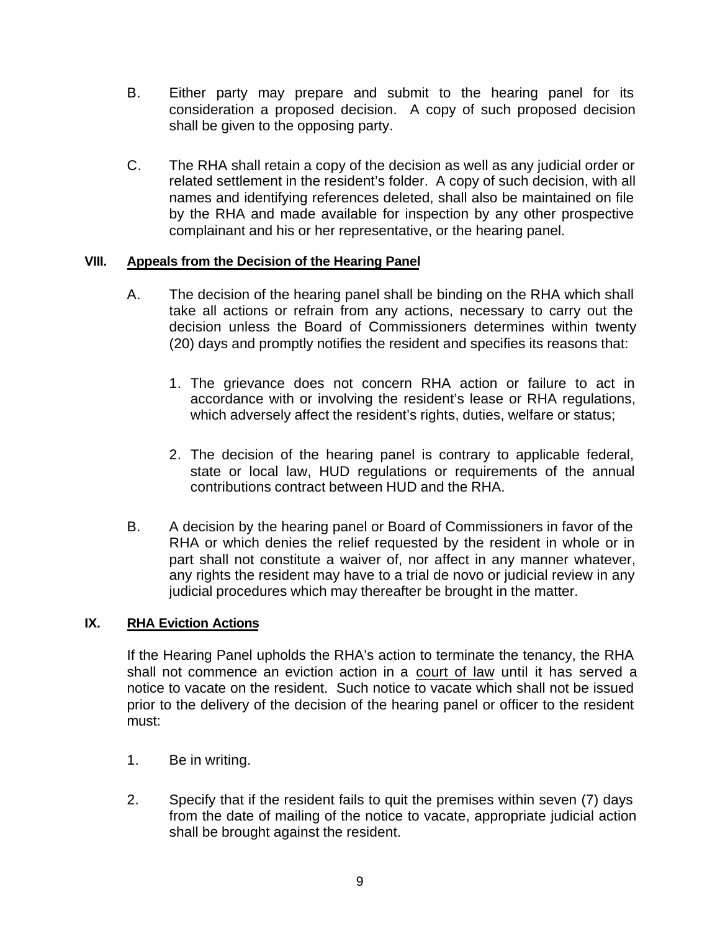- B. Either party may prepare and submit to the hearing panel for its consideration a proposed decision. A copy of such proposed decision shall be given to the opposing party.
- C. The RHA shall retain a copy of the decision as well as any judicial order or related settlement in the resident's folder. A copy of such decision, with all names and identifying references deleted, shall also be maintained on file by the RHA and made available for inspection by any other prospective complainant and his or her representative, or the hearing panel.

#### **VIII. Appeals from the Decision of the Hearing Panel**

- A. The decision of the hearing panel shall be binding on the RHA which shall take all actions or refrain from any actions, necessary to carry out the decision unless the Board of Commissioners determines within twenty (20) days and promptly notifies the resident and specifies its reasons that:
	- 1. The grievance does not concern RHA action or failure to act in accordance with or involving the resident's lease or RHA regulations, which adversely affect the resident's rights, duties, welfare or status;
	- 2. The decision of the hearing panel is contrary to applicable federal, state or local law, HUD regulations or requirements of the annual contributions contract between HUD and the RHA.
- B. A decision by the hearing panel or Board of Commissioners in favor of the RHA or which denies the relief requested by the resident in whole or in part shall not constitute a waiver of, nor affect in any manner whatever, any rights the resident may have to a trial de novo or judicial review in any judicial procedures which may thereafter be brought in the matter.

#### **IX. RHA Eviction Actions**

If the Hearing Panel upholds the RHA's action to terminate the tenancy, the RHA shall not commence an eviction action in a court of law until it has served a notice to vacate on the resident. Such notice to vacate which shall not be issued prior to the delivery of the decision of the hearing panel or officer to the resident must:

- 1. Be in writing.
- 2. Specify that if the resident fails to quit the premises within seven (7) days from the date of mailing of the notice to vacate, appropriate judicial action shall be brought against the resident.